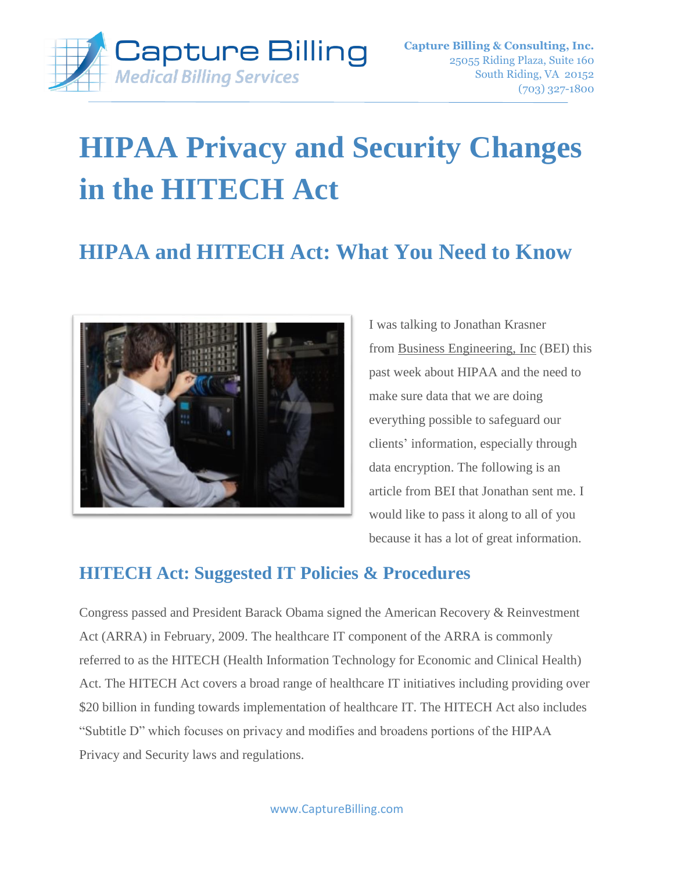

# **HIPAA Privacy and Security Changes in the HITECH Act**

# **HIPAA and HITECH Act: What You Need to Know**



I was talking to Jonathan Krasner from Business [Engineering,](http://www.beinetworks.com/) Inc (BEI) this past week about HIPAA and the need to make sure data that we are doing everything possible to safeguard our clients' information, especially through data encryption. The following is an article from BEI that Jonathan sent me. I would like to pass it along to all of you because it has a lot of great information.

# **HITECH Act: Suggested IT Policies & Procedures**

Congress passed and President Barack Obama signed the American Recovery & Reinvestment Act (ARRA) in February, 2009. The healthcare IT component of the ARRA is commonly referred to as the HITECH (Health Information Technology for Economic and Clinical Health) Act. The HITECH Act covers a broad range of healthcare IT initiatives including providing over \$20 billion in funding towards implementation of healthcare IT. The HITECH Act also includes "Subtitle D" which focuses on privacy and modifies and broadens portions of the HIPAA Privacy and Security laws and regulations.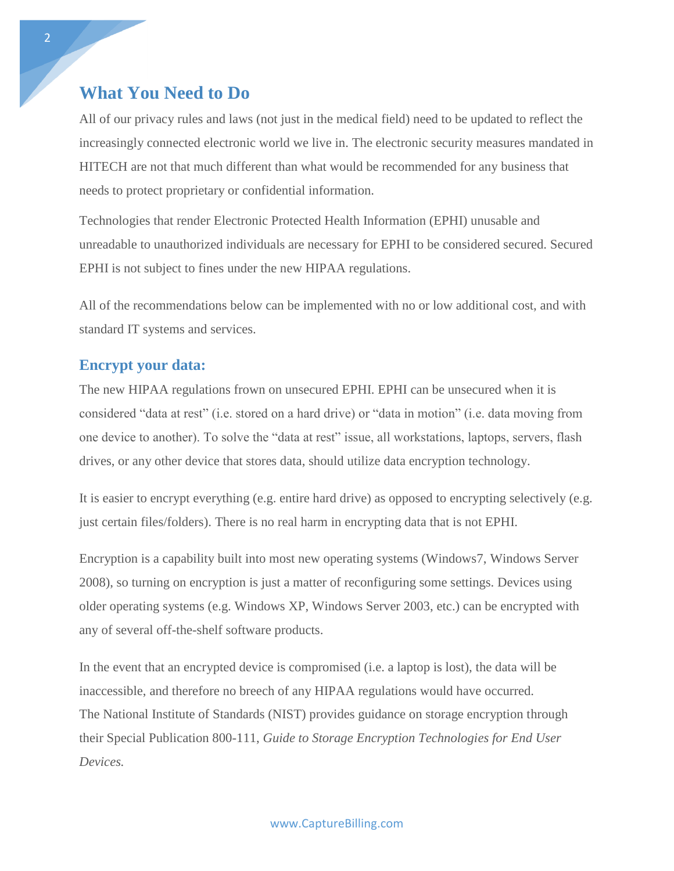### **What You Need to Do**

All of our privacy rules and laws (not just in the medical field) need to be updated to reflect the increasingly connected electronic world we live in. The electronic security measures mandated in HITECH are not that much different than what would be recommended for any business that needs to protect proprietary or confidential information.

Technologies that render Electronic Protected Health Information (EPHI) unusable and unreadable to unauthorized individuals are necessary for EPHI to be considered secured. Secured EPHI is not subject to fines under the new HIPAA regulations.

All of the recommendations below can be implemented with no or low additional cost, and with standard IT systems and services.

#### **Encrypt your data:**

The new HIPAA regulations frown on unsecured EPHI. EPHI can be unsecured when it is considered "data at rest" (i.e. stored on a hard drive) or "data in motion" (i.e. data moving from one device to another). To solve the "data at rest" issue, all workstations, laptops, servers, flash drives, or any other device that stores data, should utilize data encryption technology.

It is easier to encrypt everything (e.g. entire hard drive) as opposed to encrypting selectively (e.g. just certain files/folders). There is no real harm in encrypting data that is not EPHI.

Encryption is a capability built into most new operating systems (Windows7, Windows Server 2008), so turning on encryption is just a matter of reconfiguring some settings. Devices using older operating systems (e.g. Windows XP, Windows Server 2003, etc.) can be encrypted with any of several off-the-shelf software products.

In the event that an encrypted device is compromised (i.e. a laptop is lost), the data will be inaccessible, and therefore no breech of any HIPAA regulations would have occurred. The National Institute of Standards (NIST) provides guidance on storage encryption through their Special Publication 800-111, *Guide to Storage Encryption Technologies for End User Devices.*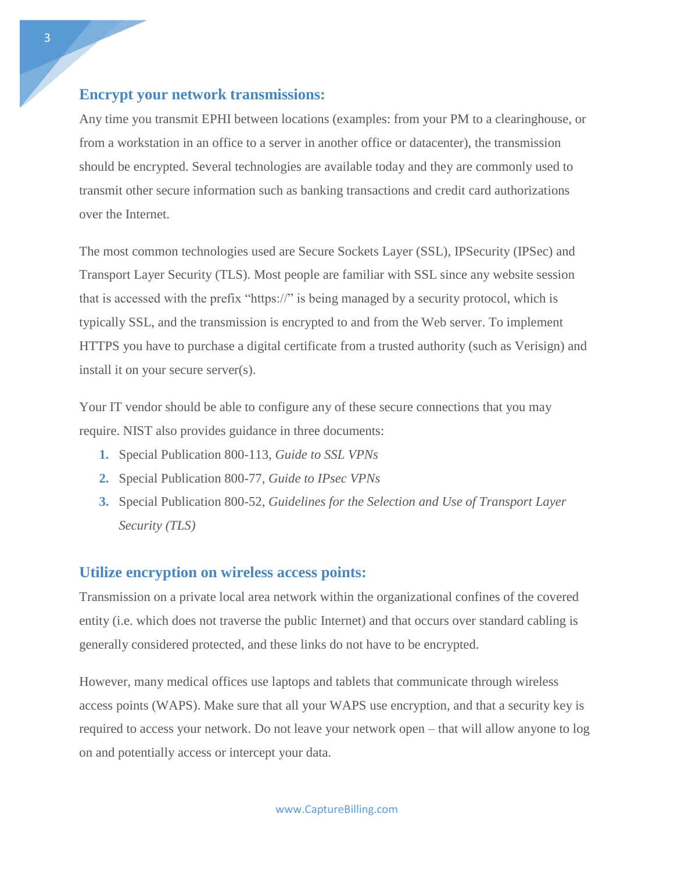#### **Encrypt your network transmissions:**

Any time you transmit EPHI between locations (examples: from your PM to a clearinghouse, or from a workstation in an office to a server in another office or datacenter), the transmission should be encrypted. Several technologies are available today and they are commonly used to transmit other secure information such as banking transactions and credit card authorizations over the Internet.

The most common technologies used are Secure Sockets Layer (SSL), IPSecurity (IPSec) and Transport Layer Security (TLS). Most people are familiar with SSL since any website session that is accessed with the prefix "https://" is being managed by a security protocol, which is typically SSL, and the transmission is encrypted to and from the Web server. To implement HTTPS you have to purchase a digital certificate from a trusted authority (such as Verisign) and install it on your secure server(s).

Your IT vendor should be able to configure any of these secure connections that you may require. NIST also provides guidance in three documents:

- **1.** Special Publication 800-113*, Guide to SSL VPNs*
- **2.** Special Publication 800-77, *Guide to IPsec VPNs*
- **3.** Special Publication 800-52, *Guidelines for the Selection and Use of Transport Layer Security (TLS)*

#### **Utilize encryption on wireless access points:**

Transmission on a private local area network within the organizational confines of the covered entity (i.e. which does not traverse the public Internet) and that occurs over standard cabling is generally considered protected, and these links do not have to be encrypted.

However, many medical offices use laptops and tablets that communicate through wireless access points (WAPS). Make sure that all your WAPS use encryption, and that a security key is required to access your network. Do not leave your network open – that will allow anyone to log on and potentially access or intercept your data.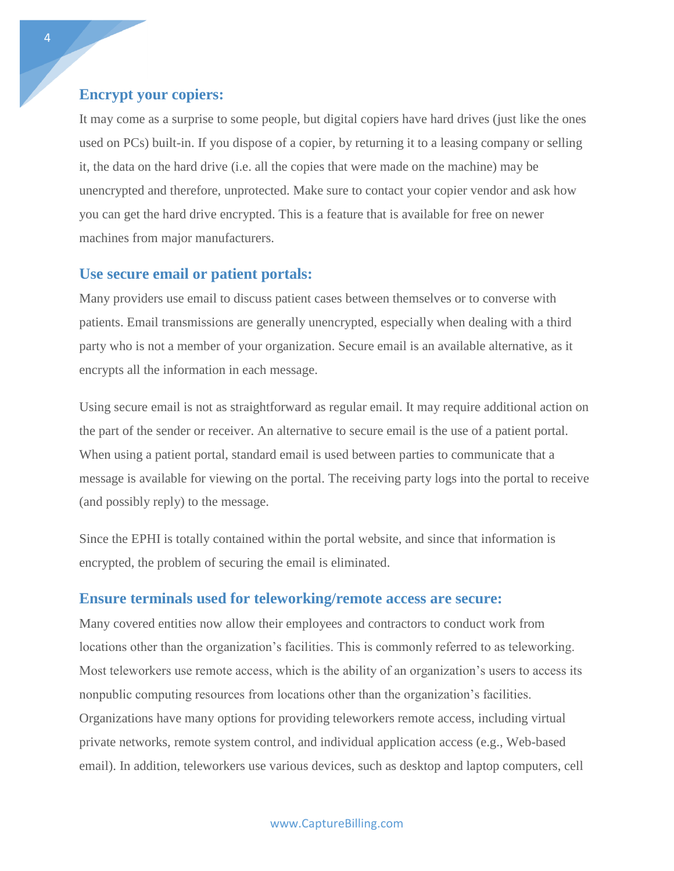#### **Encrypt your copiers:**

It may come as a surprise to some people, but digital copiers have hard drives (just like the ones used on PCs) built-in. If you dispose of a copier, by returning it to a leasing company or selling it, the data on the hard drive (i.e. all the copies that were made on the machine) may be unencrypted and therefore, unprotected. Make sure to contact your copier vendor and ask how you can get the hard drive encrypted. This is a feature that is available for free on newer machines from major manufacturers.

#### **Use secure email or patient portals:**

Many providers use email to discuss patient cases between themselves or to converse with patients. Email transmissions are generally unencrypted, especially when dealing with a third party who is not a member of your organization. Secure email is an available alternative, as it encrypts all the information in each message.

Using secure email is not as straightforward as regular email. It may require additional action on the part of the sender or receiver. An alternative to secure email is the use of a patient portal. When using a patient portal, standard email is used between parties to communicate that a message is available for viewing on the portal. The receiving party logs into the portal to receive (and possibly reply) to the message.

Since the EPHI is totally contained within the portal website, and since that information is encrypted, the problem of securing the email is eliminated.

#### **Ensure terminals used for teleworking/remote access are secure:**

Many covered entities now allow their employees and contractors to conduct work from locations other than the organization's facilities. This is commonly referred to as teleworking. Most teleworkers use remote access, which is the ability of an organization's users to access its nonpublic computing resources from locations other than the organization's facilities. Organizations have many options for providing teleworkers remote access, including virtual private networks, remote system control, and individual application access (e.g., Web-based email). In addition, teleworkers use various devices, such as desktop and laptop computers, cell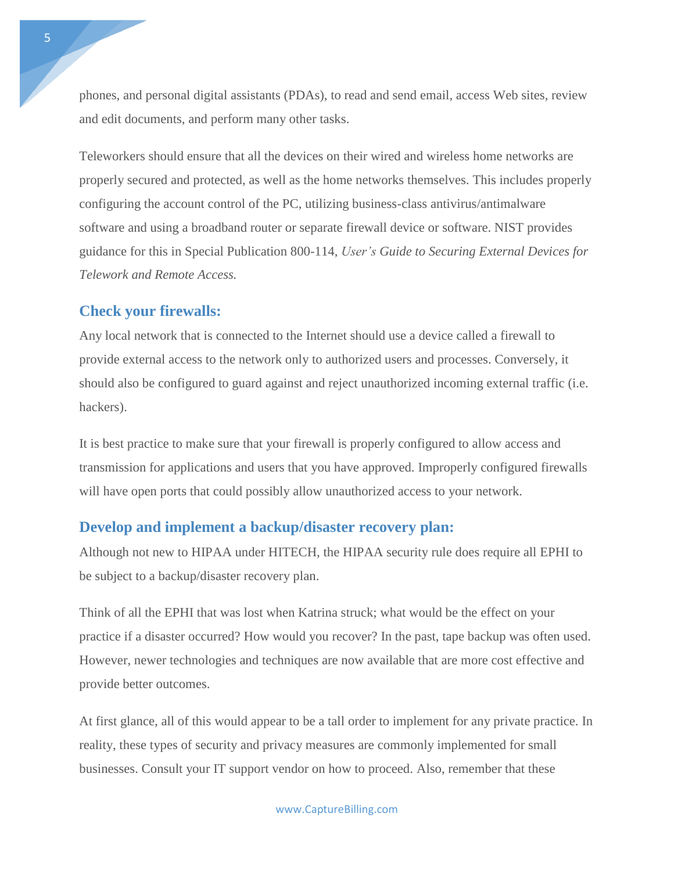phones, and personal digital assistants (PDAs), to read and send email, access Web sites, review and edit documents, and perform many other tasks.

Teleworkers should ensure that all the devices on their wired and wireless home networks are properly secured and protected, as well as the home networks themselves. This includes properly configuring the account control of the PC, utilizing business-class antivirus/antimalware software and using a broadband router or separate firewall device or software. NIST provides guidance for this in Special Publication 800-114, *User's Guide to Securing External Devices for Telework and Remote Access.*

#### **Check your firewalls:**

Any local network that is connected to the Internet should use a device called a firewall to provide external access to the network only to authorized users and processes. Conversely, it should also be configured to guard against and reject unauthorized incoming external traffic (i.e. hackers).

It is best practice to make sure that your firewall is properly configured to allow access and transmission for applications and users that you have approved. Improperly configured firewalls will have open ports that could possibly allow unauthorized access to your network.

#### **Develop and implement a backup/disaster recovery plan:**

Although not new to HIPAA under HITECH, the HIPAA security rule does require all EPHI to be subject to a backup/disaster recovery plan.

Think of all the EPHI that was lost when Katrina struck; what would be the effect on your practice if a disaster occurred? How would you recover? In the past, tape backup was often used. However, newer technologies and techniques are now available that are more cost effective and provide better outcomes.

At first glance, all of this would appear to be a tall order to implement for any private practice. In reality, these types of security and privacy measures are commonly implemented for small businesses. Consult your IT support vendor on how to proceed. Also, remember that these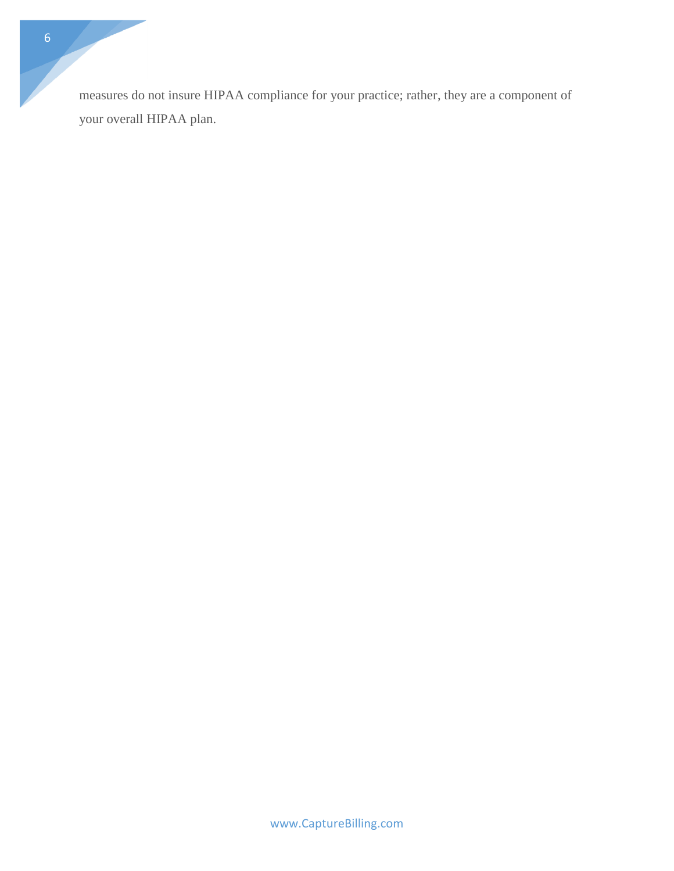measures do not insure HIPAA compliance for your practice; rather, they are a component of your overall HIPAA plan.